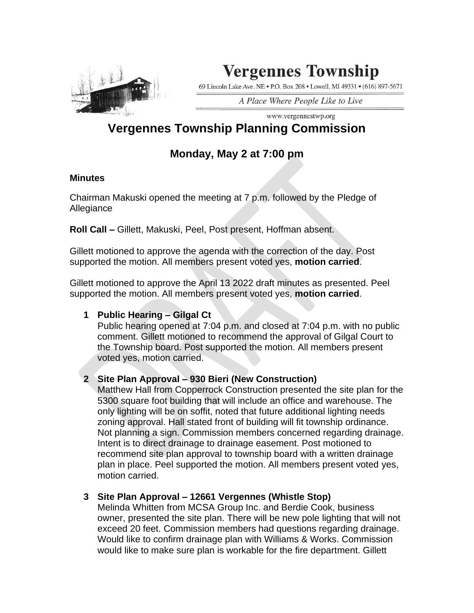

# **Vergennes Township**

69 Lincoln Lake Ave. NE . P.O. Box 208 . Lowell, MI 49331 . (616) 897-5671

A Place Where People Like to Live

#### www.vergennestwp.org **Vergennes Township Planning Commission**

## **Monday, May 2 at 7:00 pm**

#### **Minutes**

Chairman Makuski opened the meeting at 7 p.m. followed by the Pledge of Allegiance

**Roll Call –** Gillett, Makuski, Peel, Post present, Hoffman absent.

Gillett motioned to approve the agenda with the correction of the day. Post supported the motion. All members present voted yes, **motion carried**.

Gillett motioned to approve the April 13 2022 draft minutes as presented. Peel supported the motion. All members present voted yes, **motion carried**.

### **1 Public Hearing – Gilgal Ct**

Public hearing opened at 7:04 p.m. and closed at 7:04 p.m. with no public comment. Gillett motioned to recommend the approval of Gilgal Court to the Township board. Post supported the motion. All members present voted yes, motion carried.

### **2 Site Plan Approval – 930 Bieri (New Construction)**

Matthew Hall from Copperrock Construction presented the site plan for the 5300 square foot building that will include an office and warehouse. The only lighting will be on soffit, noted that future additional lighting needs zoning approval. Hall stated front of building will fit township ordinance. Not planning a sign. Commission members concerned regarding drainage. Intent is to direct drainage to drainage easement. Post motioned to recommend site plan approval to township board with a written drainage plan in place. Peel supported the motion. All members present voted yes, motion carried.

### **3 Site Plan Approval – 12661 Vergennes (Whistle Stop)**

Melinda Whitten from MCSA Group Inc. and Berdie Cook, business owner, presented the site plan. There will be new pole lighting that will not exceed 20 feet. Commission members had questions regarding drainage. Would like to confirm drainage plan with Williams & Works. Commission would like to make sure plan is workable for the fire department. Gillett